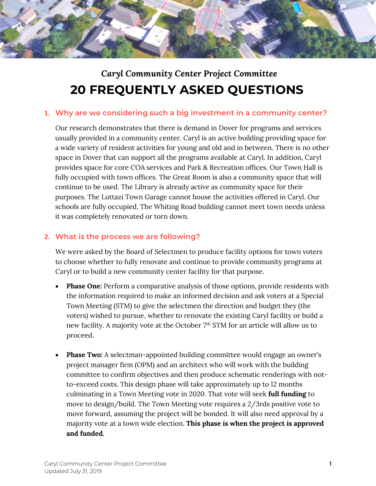

# *Caryl Community Center Project Committee* **20 FREQUENTLY ASKED QUESTIONS**

#### **1. Why are we considering such a big investment in a community center?**

Our research demonstrates that there is demand in Dover for programs and services usually provided in a community center. Caryl is an active building providing space for a wide variety of resident activities for young and old and in between. There is no other space in Dover that can support all the programs available at Caryl. In addition, Caryl provides space for core COA services and Park & Recreation offices. Our Town Hall is fully occupied with town offices. The Great Room is also a community space that will continue to be used. The Library is already active as community space for their purposes. The Luttazi Town Garage cannot house the activities offered in Caryl. Our schools are fully occupied. The Whiting Road building cannot meet town needs unless it was completely renovated or torn down.

# **2. What is the process we are following?**

We were asked by the Board of Selectmen to produce facility options for town voters to choose whether to fully renovate and continue to provide community programs at Caryl or to build a new community center facility for that purpose.

- **Phase One:** Perform a comparative analysis of those options, provide residents with the information required to make an informed decision and ask voters at a Special Town Meeting (STM) to give the selectmen the direction and budget they (the voters) wished to pursue, whether to renovate the existing Caryl facility or build a new facility. A majority vote at the October 7<sup>th</sup> STM for an article will allow us to proceed.
- **Phase Two:** A selectman-appointed building committee would engage an owner's project manager firm (OPM) and an architect who will work with the building committee to confirm objectives and then produce schematic renderings with notto-exceed costs. This design phase will take approximately up to 12 months culminating in a Town Meeting vote in 2020. That vote will seek **full funding** to move to design/build. The Town Meeting vote requires a 2/3rds positive vote to move forward, assuming the project will be bonded. It will also need approval by a majority vote at a town wide election. **This phase is when the project is approved and funded.**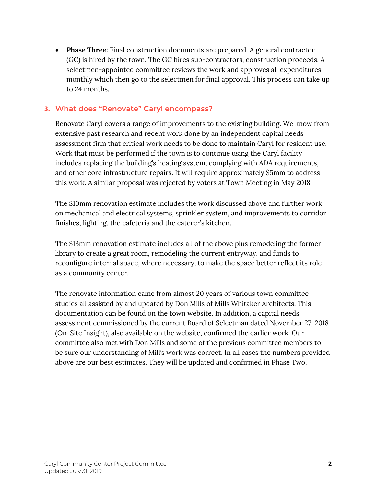• **Phase Three:** Final construction documents are prepared. A general contractor (GC) is hired by the town. The GC hires sub-contractors, construction proceeds. A selectmen-appointed committee reviews the work and approves all expenditures monthly which then go to the selectmen for final approval. This process can take up to 24 months.

## **3. What does "Renovate" Caryl encompass?**

Renovate Caryl covers a range of improvements to the existing building. We know from extensive past research and recent work done by an independent capital needs assessment firm that critical work needs to be done to maintain Caryl for resident use. Work that must be performed if the town is to continue using the Caryl facility includes replacing the building's heating system, complying with ADA requirements, and other core infrastructure repairs. It will require approximately \$5mm to address this work. A similar proposal was rejected by voters at Town Meeting in May 2018.

The \$10mm renovation estimate includes the work discussed above and further work on mechanical and electrical systems, sprinkler system, and improvements to corridor finishes, lighting, the cafeteria and the caterer's kitchen.

The \$13mm renovation estimate includes all of the above plus remodeling the former library to create a great room, remodeling the current entryway, and funds to reconfigure internal space, where necessary, to make the space better reflect its role as a community center.

The renovate information came from almost 20 years of various town committee studies all assisted by and updated by Don Mills of Mills Whitaker Architects. This documentation can be found on the town website. In addition, a capital needs assessment commissioned by the current Board of Selectman dated November 27, 2018 (On-Site Insight), also available on the website, confirmed the earlier work. Our committee also met with Don Mills and some of the previous committee members to be sure our understanding of Mill's work was correct. In all cases the numbers provided above are our best estimates. They will be updated and confirmed in Phase Two.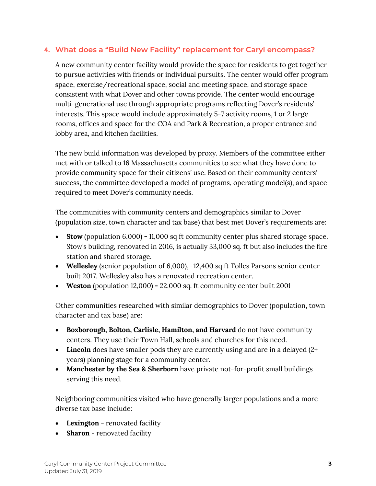# **4. What does a "Build New Facility" replacement for Caryl encompass?**

A new community center facility would provide the space for residents to get together to pursue activities with friends or individual pursuits. The center would offer program space, exercise/recreational space, social and meeting space, and storage space consistent with what Dover and other towns provide. The center would encourage multi-generational use through appropriate programs reflecting Dover's residents' interests. This space would include approximately 5-7 activity rooms, 1 or 2 large rooms, offices and space for the COA and Park & Recreation, a proper entrance and lobby area, and kitchen facilities.

The new build information was developed by proxy. Members of the committee either met with or talked to 16 Massachusetts communities to see what they have done to provide community space for their citizens' use. Based on their community centers' success, the committee developed a model of programs, operating model(s), and space required to meet Dover's community needs.

The communities with community centers and demographics similar to Dover (population size, town character and tax base) that best met Dover's requirements are:

- **Stow** (population 6,000**) -** 11,000 sq ft community center plus shared storage space. Stow's building, renovated in 2016, is actually 33,000 sq. ft but also includes the fire station and shared storage.
- **Wellesley** (senior population of 6,000), -12,400 sq ft Tolles Parsons senior center built 2017. Wellesley also has a renovated recreation center.
- **Weston** (population 12,000**) -** 22,000 sq. ft community center built 2001

Other communities researched with similar demographics to Dover (population, town character and tax base) are:

- **Boxborough, Bolton, Carlisle, Hamilton, and Harvard** do not have community centers. They use their Town Hall, schools and churches for this need.
- Lincoln does have smaller pods they are currently using and are in a delayed (2+ years) planning stage for a community center.
- **Manchester by the Sea & Sherborn** have private not-for-profit small buildings serving this need.

Neighboring communities visited who have generally larger populations and a more diverse tax base include:

- **Lexington** renovated facility
- **Sharon** renovated facility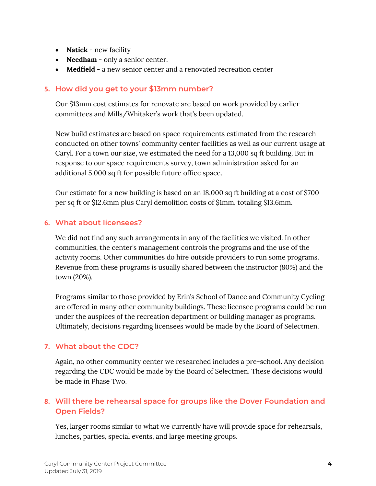- **Natick**  new facility
- **Needham** only a senior center.
- **Medfield**  a new senior center and a renovated recreation center

# **5. How did you get to your \$13mm number?**

Our \$13mm cost estimates for renovate are based on work provided by earlier committees and Mills/Whitaker's work that's been updated.

New build estimates are based on space requirements estimated from the research conducted on other towns' community center facilities as well as our current usage at Caryl. For a town our size, we estimated the need for a 13,000 sq ft building. But in response to our space requirements survey, town administration asked for an additional 5,000 sq ft for possible future office space.

Our estimate for a new building is based on an 18,000 sq ft building at a cost of \$700 per sq ft or \$12.6mm plus Caryl demolition costs of \$1mm, totaling \$13.6mm.

# **6. What about licensees?**

We did not find any such arrangements in any of the facilities we visited. In other communities, the center's management controls the programs and the use of the activity rooms. Other communities do hire outside providers to run some programs. Revenue from these programs is usually shared between the instructor (80%) and the town (20%).

Programs similar to those provided by Erin's School of Dance and Community Cycling are offered in many other community buildings. These licensee programs could be run under the auspices of the recreation department or building manager as programs. Ultimately, decisions regarding licensees would be made by the Board of Selectmen.

## **7. What about the CDC?**

Again, no other community center we researched includes a pre-school. Any decision regarding the CDC would be made by the Board of Selectmen. These decisions would be made in Phase Two.

# **8. Will there be rehearsal space for groups like the Dover Foundation and Open Fields?**

Yes, larger rooms similar to what we currently have will provide space for rehearsals, lunches, parties, special events, and large meeting groups.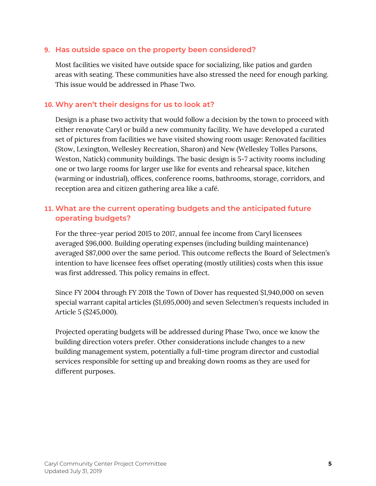#### **9. Has outside space on the property been considered?**

Most facilities we visited have outside space for socializing, like patios and garden areas with seating. These communities have also stressed the need for enough parking. This issue would be addressed in Phase Two.

#### **10. Why aren't their designs for us to look at?**

Design is a phase two activity that would follow a decision by the town to proceed with either renovate Caryl or build a new community facility. We have developed a curated set of pictures from facilities we have visited showing room usage: Renovated facilities (Stow, Lexington, Wellesley Recreation, Sharon) and New (Wellesley Tolles Parsons, Weston, Natick) community buildings. The basic design is 5-7 activity rooms including one or two large rooms for larger use like for events and rehearsal space, kitchen (warming or industrial), offices, conference rooms, bathrooms, storage, corridors, and reception area and citizen gathering area like a café.

# **11. What are the current operating budgets and the anticipated future operating budgets?**

For the three-year period 2015 to 2017, annual fee income from Caryl licensees averaged \$96,000. Building operating expenses (including building maintenance) averaged \$87,000 over the same period. This outcome reflects the Board of Selectmen's intention to have licensee fees offset operating (mostly utilities) costs when this issue was first addressed. This policy remains in effect.

Since FY 2004 through FY 2018 the Town of Dover has requested \$1,940,000 on seven special warrant capital articles (\$1,695,000) and seven Selectmen's requests included in Article 5 (\$245,000).

Projected operating budgets will be addressed during Phase Two, once we know the building direction voters prefer. Other considerations include changes to a new building management system, potentially a full-time program director and custodial services responsible for setting up and breaking down rooms as they are used for different purposes.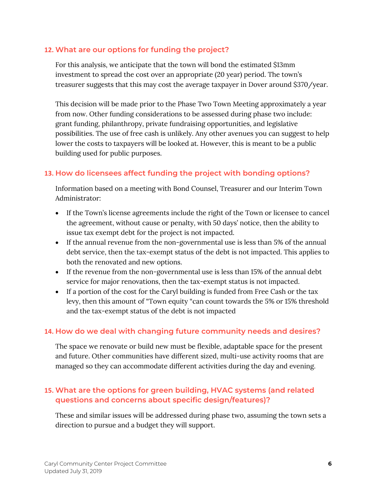## **12. What are our options for funding the project?**

For this analysis, we anticipate that the town will bond the estimated \$13mm investment to spread the cost over an appropriate (20 year) period. The town's treasurer suggests that this may cost the average taxpayer in Dover around \$370/year.

This decision will be made prior to the Phase Two Town Meeting approximately a year from now. Other funding considerations to be assessed during phase two include: grant funding, philanthropy, private fundraising opportunities, and legislative possibilities. The use of free cash is unlikely. Any other avenues you can suggest to help lower the costs to taxpayers will be looked at. However, this is meant to be a public building used for public purposes.

# **13. How do licensees affect funding the project with bonding options?**

Information based on a meeting with Bond Counsel, Treasurer and our Interim Town Administrator:

- If the Town's license agreements include the right of the Town or licensee to cancel the agreement, without cause or penalty, with 50 days' notice, then the ability to issue tax exempt debt for the project is not impacted.
- If the annual revenue from the non-governmental use is less than 5% of the annual debt service, then the tax-exempt status of the debt is not impacted. This applies to both the renovated and new options.
- If the revenue from the non-governmental use is less than 15% of the annual debt service for major renovations, then the tax-exempt status is not impacted.
- If a portion of the cost for the Caryl building is funded from Free Cash or the tax levy, then this amount of "Town equity "can count towards the 5% or 15% threshold and the tax-exempt status of the debt is not impacted

## **14. How do we deal with changing future community needs and desires?**

The space we renovate or build new must be flexible, adaptable space for the present and future. Other communities have different sized, multi-use activity rooms that are managed so they can accommodate different activities during the day and evening.

# **15. What are the options for green building, HVAC systems (and related questions and concerns about specific design/features)?**

These and similar issues will be addressed during phase two, assuming the town sets a direction to pursue and a budget they will support.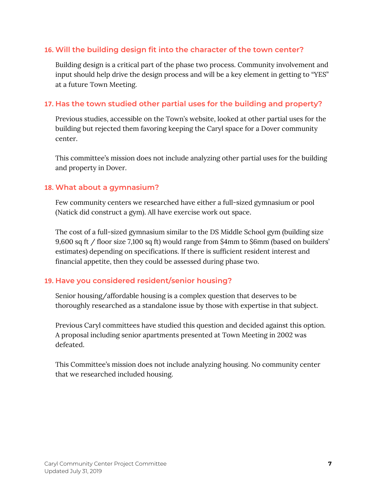# **16. Will the building design fit into the character of the town center?**

Building design is a critical part of the phase two process. Community involvement and input should help drive the design process and will be a key element in getting to "YES" at a future Town Meeting.

## **17. Has the town studied other partial uses for the building and property?**

Previous studies, accessible on the Town's website, looked at other partial uses for the building but rejected them favoring keeping the Caryl space for a Dover community center.

This committee's mission does not include analyzing other partial uses for the building and property in Dover.

## **18. What about a gymnasium?**

Few community centers we researched have either a full-sized gymnasium or pool (Natick did construct a gym). All have exercise work out space.

The cost of a full-sized gymnasium similar to the DS Middle School gym (building size 9,600 sq ft / floor size 7,100 sq ft) would range from \$4mm to \$6mm (based on builders' estimates) depending on specifications. If there is sufficient resident interest and financial appetite, then they could be assessed during phase two.

## **19. Have you considered resident/senior housing?**

Senior housing/affordable housing is a complex question that deserves to be thoroughly researched as a standalone issue by those with expertise in that subject.

Previous Caryl committees have studied this question and decided against this option. A proposal including senior apartments presented at Town Meeting in 2002 was defeated.

This Committee's mission does not include analyzing housing. No community center that we researched included housing.